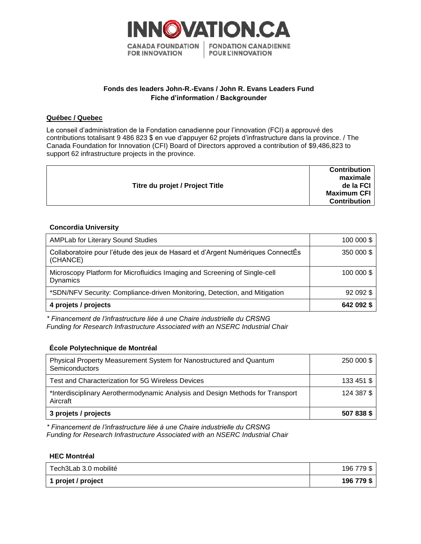

# **Fonds des leaders John-R.-Evans / John R. Evans Leaders Fund Fiche d'information / Backgrounder**

## **Québec / Quebec**

Le conseil d'administration de la Fondation canadienne pour l'innovation (FCI) a approuvé des contributions totalisant 9 486 823 \$ en vue d'appuyer 62 projets d'infrastructure dans la province. / The Canada Foundation for Innovation (CFI) Board of Directors approved a contribution of \$9,486,823 to support 62 infrastructure projects in the province.

|                                 | <b>Contribution</b><br>maximale |
|---------------------------------|---------------------------------|
| Titre du projet / Project Title | de la FCI                       |
|                                 | <b>Maximum CFI</b>              |
|                                 | <b>Contribution</b>             |
|                                 |                                 |

## **Concordia University**

| <b>AMPLab for Literary Sound Studies</b>                                                      | 100 000 \$ |
|-----------------------------------------------------------------------------------------------|------------|
| Collaboratoire pour l'étude des jeux de Hasard et d'Argent Numériques ConnectÉs<br>(CHANCE)   | 350 000 \$ |
| Microscopy Platform for Microfluidics Imaging and Screening of Single-cell<br><b>Dynamics</b> | 100 000 \$ |
| *SDN/NFV Security: Compliance-driven Monitoring, Detection, and Mitigation                    | 92 092 \$  |
| 4 projets / projects                                                                          | 642 092 \$ |

*\* Financement de l'infrastructure liée à une Chaire industrielle du CRSNG Funding for Research Infrastructure Associated with an NSERC Industrial Chair*

## **École Polytechnique de Montréal**

| Physical Property Measurement System for Nanostructured and Quantum<br>Semiconductors      | 250 000 \$ |
|--------------------------------------------------------------------------------------------|------------|
| Test and Characterization for 5G Wireless Devices                                          | 133 451 \$ |
| *Interdisciplinary Aerothermodynamic Analysis and Design Methods for Transport<br>Aircraft | 124 387 \$ |
| 3 projets / projects                                                                       | 507 838 \$ |

*\* Financement de l'infrastructure liée à une Chaire industrielle du CRSNG Funding for Research Infrastructure Associated with an NSERC Industrial Chair*

## **HEC Montréal**

| Tech3Lab 3.0 mobilité | 196 779 \$ |
|-----------------------|------------|
| 1 projet / project    | 196 779 \$ |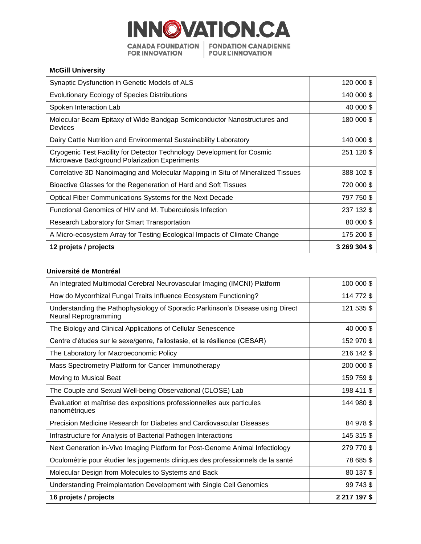

## **McGill University**

| Synaptic Dysfunction in Genetic Models of ALS                                                                           | 120 000 \$   |
|-------------------------------------------------------------------------------------------------------------------------|--------------|
| Evolutionary Ecology of Species Distributions                                                                           | 140 000 \$   |
| Spoken Interaction Lab                                                                                                  | 40 000 \$    |
| Molecular Beam Epitaxy of Wide Bandgap Semiconductor Nanostructures and<br><b>Devices</b>                               | 180 000 \$   |
| Dairy Cattle Nutrition and Environmental Sustainability Laboratory                                                      | 140 000 \$   |
| Cryogenic Test Facility for Detector Technology Development for Cosmic<br>Microwave Background Polarization Experiments | 251 120 \$   |
| Correlative 3D Nanoimaging and Molecular Mapping in Situ of Mineralized Tissues                                         | 388 102 \$   |
| Bioactive Glasses for the Regeneration of Hard and Soft Tissues                                                         | 720 000 \$   |
| Optical Fiber Communications Systems for the Next Decade                                                                | 797 750 \$   |
| Functional Genomics of HIV and M. Tuberculosis Infection                                                                | 237 132 \$   |
| Research Laboratory for Smart Transportation                                                                            | 80 000 \$    |
| A Micro-ecosystem Array for Testing Ecological Impacts of Climate Change                                                | 175 200 \$   |
| 12 projets / projects                                                                                                   | 3 269 304 \$ |

#### **Université de Montréal**

| An Integrated Multimodal Cerebral Neurovascular Imaging (IMCNI) Platform                               | 100 000 \$   |
|--------------------------------------------------------------------------------------------------------|--------------|
| How do Mycorrhizal Fungal Traits Influence Ecosystem Functioning?                                      | 114 772 \$   |
| Understanding the Pathophysiology of Sporadic Parkinson's Disease using Direct<br>Neural Reprogramming | 121 535 \$   |
| The Biology and Clinical Applications of Cellular Senescence                                           | 40 000 \$    |
| Centre d'études sur le sexe/genre, l'allostasie, et la résilience (CESAR)                              | 152 970 \$   |
| The Laboratory for Macroeconomic Policy                                                                | 216 142 \$   |
| Mass Spectrometry Platform for Cancer Immunotherapy                                                    | 200 000 \$   |
| Moving to Musical Beat                                                                                 | 159 759 \$   |
| The Couple and Sexual Well-being Observational (CLOSE) Lab                                             | 198 411 \$   |
| Evaluation et maîtrise des expositions professionnelles aux particules<br>nanométriques                | 144 980 \$   |
| Precision Medicine Research for Diabetes and Cardiovascular Diseases                                   | 84 978 \$    |
| Infrastructure for Analysis of Bacterial Pathogen Interactions                                         | 145 315 \$   |
| Next Generation in-Vivo Imaging Platform for Post-Genome Animal Infectiology                           | 279 770 \$   |
| Oculométrie pour étudier les jugements cliniques des professionnels de la santé                        | 78 685 \$    |
| Molecular Design from Molecules to Systems and Back                                                    | 80 137 \$    |
| Understanding Preimplantation Development with Single Cell Genomics                                    | 99 743 \$    |
| 16 projets / projects                                                                                  | 2 217 197 \$ |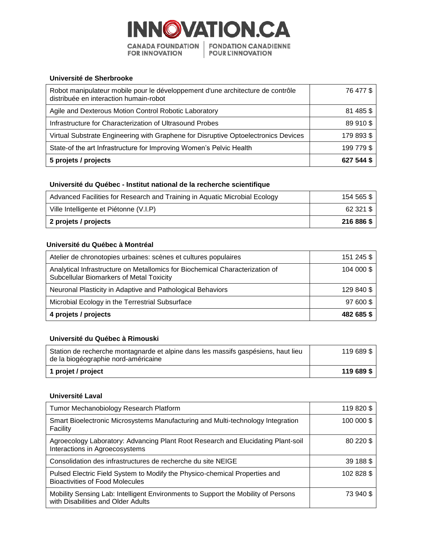

#### **Université de Sherbrooke**

| Robot manipulateur mobile pour le développement d'une architecture de contrôle<br>distribuée en interaction humain-robot | 76 477 \$  |
|--------------------------------------------------------------------------------------------------------------------------|------------|
| Agile and Dexterous Motion Control Robotic Laboratory                                                                    | 81 485 \$  |
| Infrastructure for Characterization of Ultrasound Probes                                                                 | 89 910 \$  |
| Virtual Substrate Engineering with Graphene for Disruptive Optoelectronics Devices                                       | 179 893 \$ |
| State-of the art Infrastructure for Improving Women's Pelvic Health                                                      | 199 779 \$ |
| 5 projets / projects                                                                                                     | 627 544 S  |

## **Université du Québec - Institut national de la recherche scientifique**

| Advanced Facilities for Research and Training in Aquatic Microbial Ecology | 154 565 \$ |
|----------------------------------------------------------------------------|------------|
| Ville Intelligente et Piétonne (V.I.P)                                     | 62 321 \$  |
| 2 projets / projects                                                       | 216 886 \$ |

## **Université du Québec à Montréal**

| Atelier de chronotopies urbaines: scènes et cultures populaires                                                          | 151 245 \$ |
|--------------------------------------------------------------------------------------------------------------------------|------------|
| Analytical Infrastructure on Metallomics for Biochemical Characterization of<br>Subcellular Biomarkers of Metal Toxicity | 104 000 \$ |
| Neuronal Plasticity in Adaptive and Pathological Behaviors                                                               | 129 840 \$ |
| Microbial Ecology in the Terrestrial Subsurface                                                                          | 97 600 \$  |
| 4 projets / projects                                                                                                     | 482 685 \$ |

# **Université du Québec à Rimouski**

| Station de recherche montagnarde et alpine dans les massifs gaspésiens, haut lieu<br>de la biogéographie nord-américaine | 119 689 \$ |
|--------------------------------------------------------------------------------------------------------------------------|------------|
| 1 projet / project                                                                                                       | 119 689 \$ |

## **Université Laval**

| Tumor Mechanobiology Research Platform                                                                                  | 119 820 \$ |
|-------------------------------------------------------------------------------------------------------------------------|------------|
| Smart Bioelectronic Microsystems Manufacturing and Multi-technology Integration<br>Facility                             | 100 000 \$ |
| Agroecology Laboratory: Advancing Plant Root Research and Elucidating Plant-soil<br>Interactions in Agroecosystems      | 80 220 \$  |
| Consolidation des infrastructures de recherche du site NEIGE                                                            | 39 188 \$  |
| Pulsed Electric Field System to Modify the Physico-chemical Properties and<br><b>Bioactivities of Food Molecules</b>    | 102 828 \$ |
| Mobility Sensing Lab: Intelligent Environments to Support the Mobility of Persons<br>with Disabilities and Older Adults | 73 940 \$  |